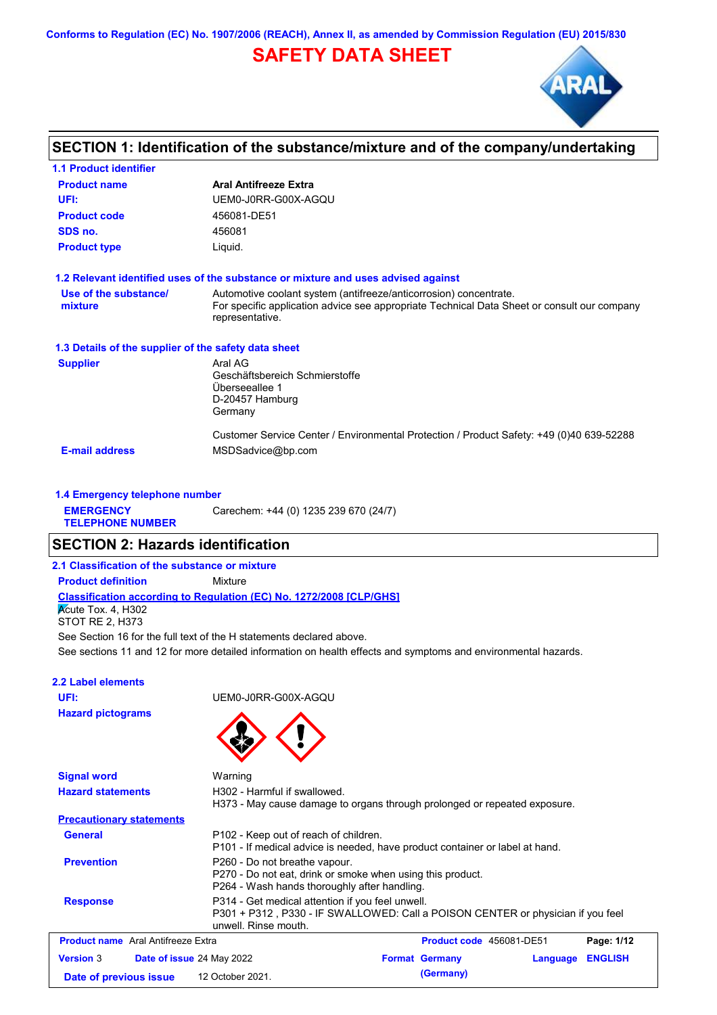**Conforms to Regulation (EC) No. 1907/2006 (REACH), Annex II, as amended by Commission Regulation (EU) 2015/830**

# **SAFETY DATA SHEET**



## **SECTION 1: Identification of the substance/mixture and of the company/undertaking**

| <b>1.1 Product identifier</b>                        |                                                                                                                                                                                     |
|------------------------------------------------------|-------------------------------------------------------------------------------------------------------------------------------------------------------------------------------------|
| <b>Product name</b>                                  | <b>Aral Antifreeze Extra</b>                                                                                                                                                        |
| UFI:                                                 | UEM0-J0RR-G00X-AGQU                                                                                                                                                                 |
| <b>Product code</b>                                  | 456081-DE51                                                                                                                                                                         |
| SDS no.                                              | 456081                                                                                                                                                                              |
| <b>Product type</b>                                  | Liquid.                                                                                                                                                                             |
|                                                      | 1.2 Relevant identified uses of the substance or mixture and uses advised against                                                                                                   |
| Use of the substance/<br>mixture                     | Automotive coolant system (antifreeze/anticorrosion) concentrate.<br>For specific application advice see appropriate Technical Data Sheet or consult our company<br>representative. |
| 1.3 Details of the supplier of the safety data sheet |                                                                                                                                                                                     |
| <b>Supplier</b>                                      | Aral AG<br>Geschäftsbereich Schmierstoffe<br>Überseeallee 1<br>D-20457 Hamburg<br>Germany                                                                                           |
| <b>E-mail address</b>                                | Customer Service Center / Environmental Protection / Product Safety: +49 (0)40 639-52288<br>MSDSadvice@bp.com                                                                       |
| 1.4 Emergency telephone number                       |                                                                                                                                                                                     |
| <b>EMERGENCY</b><br><b>TELEPHONE NUMBER</b>          | Carechem: +44 (0) 1235 239 670 (24/7)                                                                                                                                               |

### **SECTION 2: Hazards identification**

**2.1 Classification of the substance or mixture**

**Product definition** Mixture

### **Classification according to Regulation (EC) No. 1272/2008 [CLP/GHS]**

 $\overline{\mathsf{K}}$ cute Tox. 4, H302 STOT RE 2, H373

See sections 11 and 12 for more detailed information on health effects and symptoms and environmental hazards. See Section 16 for the full text of the H statements declared above.

### **2.2 Label elements**

**Hazard pictograms**

**UFI:** UEM0-J0RR-G00X-AGQU



**Date of previous issue 12 October 2021. (Germany)** 

| <b>Signal word</b>                        | Warning                                                                                                                                                     |
|-------------------------------------------|-------------------------------------------------------------------------------------------------------------------------------------------------------------|
| <b>Hazard statements</b>                  | H302 - Harmful if swallowed.<br>H373 - May cause damage to organs through prolonged or repeated exposure.                                                   |
| <b>Precautionary statements</b>           |                                                                                                                                                             |
| General                                   | P102 - Keep out of reach of children.<br>P101 - If medical advice is needed, have product container or label at hand.                                       |
| <b>Prevention</b>                         | P260 - Do not breathe vapour.<br>P270 - Do not eat, drink or smoke when using this product.<br>P264 - Wash hands thoroughly after handling.                 |
| <b>Response</b>                           | P314 - Get medical attention if you feel unwell.<br>P301 + P312, P330 - IF SWALLOWED: Call a POISON CENTER or physician if you feel<br>unwell. Rinse mouth. |
| <b>Product name</b> Aral Antifreeze Extra | Product code 456081-DE51<br>Page: 1/12                                                                                                                      |
| <b>Version 3</b>                          | <b>ENGLISH</b><br><b>Format Germany</b><br><b>Date of issue 24 May 2022</b><br>Language                                                                     |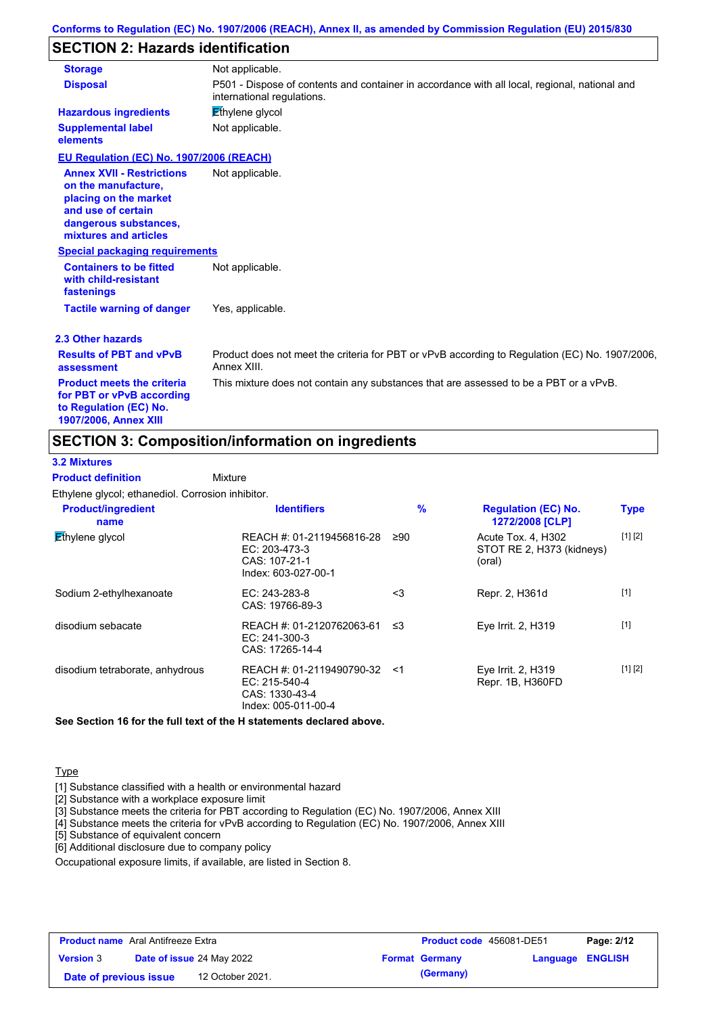# **SECTION 2: Hazards identification**

| <b>Storage</b>                                                                                                                                           | Not applicable.                                                                                                             |
|----------------------------------------------------------------------------------------------------------------------------------------------------------|-----------------------------------------------------------------------------------------------------------------------------|
| <b>Disposal</b>                                                                                                                                          | P501 - Dispose of contents and container in accordance with all local, regional, national and<br>international regulations. |
| <b>Hazardous ingredients</b>                                                                                                                             | Ethylene glycol                                                                                                             |
| <b>Supplemental label</b><br>elements                                                                                                                    | Not applicable.                                                                                                             |
| EU Regulation (EC) No. 1907/2006 (REACH)                                                                                                                 |                                                                                                                             |
| <b>Annex XVII - Restrictions</b><br>on the manufacture.<br>placing on the market<br>and use of certain<br>dangerous substances,<br>mixtures and articles | Not applicable.                                                                                                             |
| <b>Special packaging requirements</b>                                                                                                                    |                                                                                                                             |
| <b>Containers to be fitted</b><br>with child-resistant<br>fastenings                                                                                     | Not applicable.                                                                                                             |
| <b>Tactile warning of danger</b>                                                                                                                         | Yes, applicable.                                                                                                            |
| 2.3 Other hazards                                                                                                                                        |                                                                                                                             |
| <b>Results of PBT and vPvB</b><br>assessment                                                                                                             | Product does not meet the criteria for PBT or vPvB according to Regulation (EC) No. 1907/2006,<br>Annex XIII.               |
| <b>Product meets the criteria</b><br>for PBT or vPvB according<br>to Regulation (EC) No.<br>1907/2006, Annex XIII                                        | This mixture does not contain any substances that are assessed to be a PBT or a vPvB.                                       |

### **SECTION 3: Composition/information on ingredients**

### **3.2 Mixtures**

**Product definition**

#### Mixture

Ethylene glycol; ethanediol. Corrosion inhibitor.

| <b>Product/ingredient</b><br>name | <b>Identifiers</b>                                                                   | $\frac{9}{6}$ | <b>Regulation (EC) No.</b><br><b>1272/2008 [CLP]</b>      | <b>Type</b> |
|-----------------------------------|--------------------------------------------------------------------------------------|---------------|-----------------------------------------------------------|-------------|
| <b>Ethylene</b> glycol            | REACH #: 01-2119456816-28<br>$EC: 203-473-3$<br>CAS: 107-21-1<br>Index: 603-027-00-1 | ≥90           | Acute Tox. 4, H302<br>STOT RE 2, H373 (kidneys)<br>(oral) | [1] [2]     |
| Sodium 2-ethylhexanoate           | $EC: 243-283-8$<br>CAS: 19766-89-3                                                   | $3$           | Repr. 2, H361d                                            | $[1]$       |
| disodium sebacate                 | REACH #: 01-2120762063-61<br>EC: $241-300-3$<br>CAS: 17265-14-4                      | -≤3           | Eye Irrit. 2, H319                                        | $[1]$       |
| disodium tetraborate, anhydrous   | REACH #: 01-2119490790-32<br>EC: 215-540-4<br>CAS: 1330-43-4<br>Index: 005-011-00-4  | -≺1           | Eye Irrit. 2, H319<br>Repr. 1B, H360FD                    | [1] [2]     |

**See Section 16 for the full text of the H statements declared above.**

#### **Type**

[1] Substance classified with a health or environmental hazard

[2] Substance with a workplace exposure limit

[3] Substance meets the criteria for PBT according to Regulation (EC) No. 1907/2006, Annex XIII

[4] Substance meets the criteria for vPvB according to Regulation (EC) No. 1907/2006, Annex XIII

[5] Substance of equivalent concern

[6] Additional disclosure due to company policy

Occupational exposure limits, if available, are listed in Section 8.

| <b>Product name</b> Aral Antifreeze Extra |  | <b>Product code</b> 456081-DE51 | Page: 2/12 |                       |                         |
|-------------------------------------------|--|---------------------------------|------------|-----------------------|-------------------------|
| <b>Version 3</b>                          |  | Date of issue 24 May 2022       |            | <b>Format Germany</b> | <b>Language ENGLISH</b> |
| Date of previous issue                    |  | 12 October 2021.                |            | (Germany)             |                         |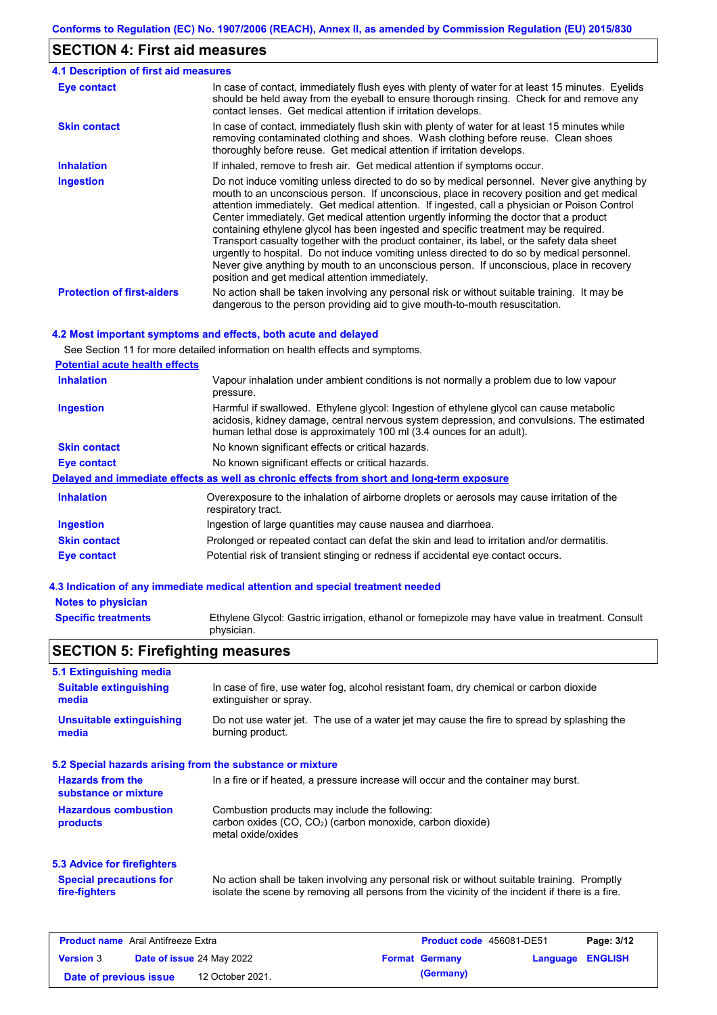#### **SECTION 4: First aid measures**

#### Do not induce vomiting unless directed to do so by medical personnel. Never give anything by mouth to an unconscious person. If unconscious, place in recovery position and get medical attention immediately. Get medical attention. If ingested, call a physician or Poison Control Center immediately. Get medical attention urgently informing the doctor that a product containing ethylene glycol has been ingested and specific treatment may be required. Transport casualty together with the product container, its label, or the safety data sheet urgently to hospital. Do not induce vomiting unless directed to do so by medical personnel. Never give anything by mouth to an unconscious person. If unconscious, place in recovery position and get medical attention immediately. In case of contact, immediately flush eyes with plenty of water for at least 15 minutes. Eyelids should be held away from the eyeball to ensure thorough rinsing. Check for and remove any contact lenses. Get medical attention if irritation develops. **4.1 Description of first aid measures** If inhaled, remove to fresh air. Get medical attention if symptoms occur. **Ingestion Inhalation Eye contact Protection of first-aiders** No action shall be taken involving any personal risk or without suitable training. It may be dangerous to the person providing aid to give mouth-to-mouth resuscitation. **Skin contact** In case of contact, immediately flush skin with plenty of water for at least 15 minutes while removing contaminated clothing and shoes. Wash clothing before reuse. Clean shoes thoroughly before reuse. Get medical attention if irritation develops.

#### **4.2 Most important symptoms and effects, both acute and delayed**

See Section 11 for more detailed information on health effects and symptoms.

| <b>Potential acute health effects</b> |                                                                                                                                                                                                                                                               |
|---------------------------------------|---------------------------------------------------------------------------------------------------------------------------------------------------------------------------------------------------------------------------------------------------------------|
| <b>Inhalation</b>                     | Vapour inhalation under ambient conditions is not normally a problem due to low vapour<br>pressure.                                                                                                                                                           |
| <b>Ingestion</b>                      | Harmful if swallowed. Ethylene glycol: Ingestion of ethylene glycol can cause metabolic<br>acidosis, kidney damage, central nervous system depression, and convulsions. The estimated<br>human lethal dose is approximately 100 ml (3.4 ounces for an adult). |
| <b>Skin contact</b>                   | No known significant effects or critical hazards.                                                                                                                                                                                                             |
| Eye contact                           | No known significant effects or critical hazards.                                                                                                                                                                                                             |
|                                       | Delayed and immediate effects as well as chronic effects from short and long-term exposure                                                                                                                                                                    |
| <b>Inhalation</b>                     | Overexposure to the inhalation of airborne droplets or aerosols may cause irritation of the<br>respiratory tract.                                                                                                                                             |
| Ingestion                             | Ingestion of large quantities may cause nausea and diarrhoea.                                                                                                                                                                                                 |
| <b>Skin contact</b>                   | Prolonged or repeated contact can defat the skin and lead to irritation and/or dermatitis.                                                                                                                                                                    |
| Eye contact                           | Potential risk of transient stinging or redness if accidental eye contact occurs.                                                                                                                                                                             |

### **Notes to physician 4.3 Indication of any immediate medical attention and special treatment needed**

Ethylene Glycol: Gastric irrigation, ethanol or fomepizole may have value in treatment. Consult physician.

### **SECTION 5: Firefighting measures**

**Specific treatments**

| 5.1 Extinguishing media                         |                                                                                                                                                                                                |
|-------------------------------------------------|------------------------------------------------------------------------------------------------------------------------------------------------------------------------------------------------|
| <b>Suitable extinguishing</b><br>media          | In case of fire, use water fog, alcohol resistant foam, dry chemical or carbon dioxide<br>extinguisher or spray.                                                                               |
| <b>Unsuitable extinguishing</b><br>media        | Do not use water jet. The use of a water jet may cause the fire to spread by splashing the<br>burning product.                                                                                 |
|                                                 | 5.2 Special hazards arising from the substance or mixture                                                                                                                                      |
| <b>Hazards from the</b><br>substance or mixture | In a fire or if heated, a pressure increase will occur and the container may burst.                                                                                                            |
| <b>Hazardous combustion</b><br>products         | Combustion products may include the following:<br>carbon oxides (CO, CO <sub>2</sub> ) (carbon monoxide, carbon dioxide)<br>metal oxide/oxides                                                 |
| 5.3 Advice for firefighters                     |                                                                                                                                                                                                |
| <b>Special precautions for</b><br>fire-fighters | No action shall be taken involving any personal risk or without suitable training. Promptly<br>isolate the scene by removing all persons from the vicinity of the incident if there is a fire. |
|                                                 |                                                                                                                                                                                                |

| <b>Product name</b> Aral Antifreeze Extra |  | <b>Product code</b> 456081-DE51  | Page: 3/12 |                       |                  |
|-------------------------------------------|--|----------------------------------|------------|-----------------------|------------------|
| <b>Version 3</b>                          |  | <b>Date of issue 24 May 2022</b> |            | <b>Format Germany</b> | Language ENGLISH |
| Date of previous issue                    |  | 12 October 2021.                 |            | (Germany)             |                  |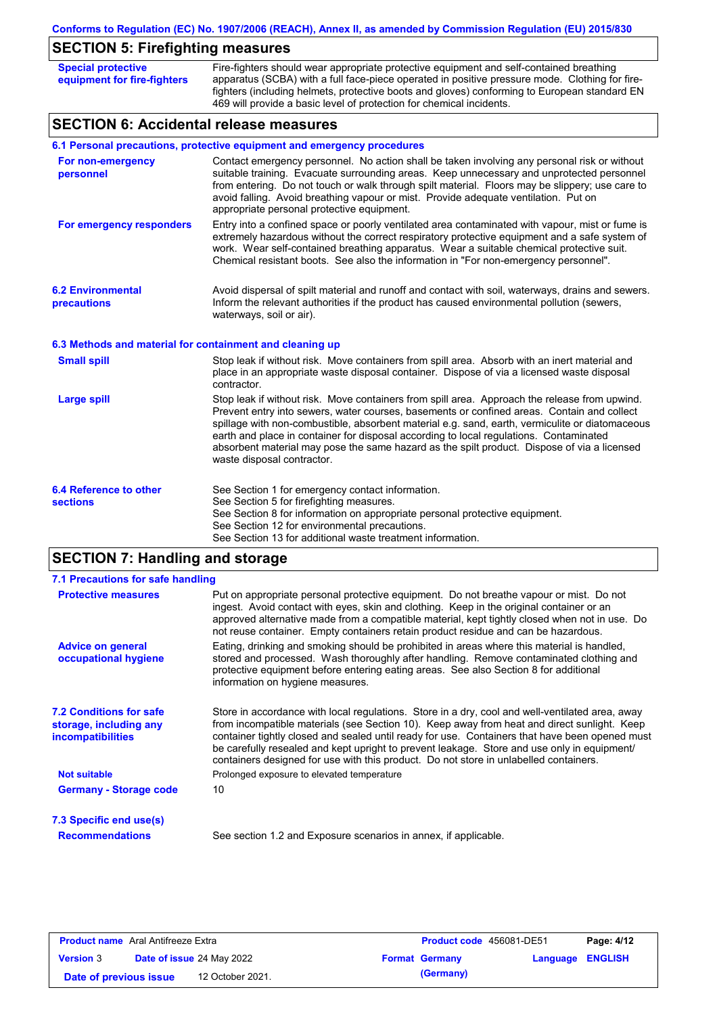### **SECTION 5: Firefighting measures**

| <b>Special protective</b>                                | Fire-fighters should wear appropriate protective equipment and self-contained breathing                                                                                                                                                                                                                                                                                                                                                                                                                               |  |  |  |
|----------------------------------------------------------|-----------------------------------------------------------------------------------------------------------------------------------------------------------------------------------------------------------------------------------------------------------------------------------------------------------------------------------------------------------------------------------------------------------------------------------------------------------------------------------------------------------------------|--|--|--|
| equipment for fire-fighters                              | apparatus (SCBA) with a full face-piece operated in positive pressure mode. Clothing for fire-<br>fighters (including helmets, protective boots and gloves) conforming to European standard EN<br>469 will provide a basic level of protection for chemical incidents.                                                                                                                                                                                                                                                |  |  |  |
| <b>SECTION 6: Accidental release measures</b>            |                                                                                                                                                                                                                                                                                                                                                                                                                                                                                                                       |  |  |  |
|                                                          | 6.1 Personal precautions, protective equipment and emergency procedures                                                                                                                                                                                                                                                                                                                                                                                                                                               |  |  |  |
| For non-emergency<br>personnel                           | Contact emergency personnel. No action shall be taken involving any personal risk or without<br>suitable training. Evacuate surrounding areas. Keep unnecessary and unprotected personnel<br>from entering. Do not touch or walk through spilt material. Floors may be slippery; use care to<br>avoid falling. Avoid breathing vapour or mist. Provide adequate ventilation. Put on<br>appropriate personal protective equipment.                                                                                     |  |  |  |
| For emergency responders                                 | Entry into a confined space or poorly ventilated area contaminated with vapour, mist or fume is<br>extremely hazardous without the correct respiratory protective equipment and a safe system of<br>work. Wear self-contained breathing apparatus. Wear a suitable chemical protective suit.<br>Chemical resistant boots. See also the information in "For non-emergency personnel".                                                                                                                                  |  |  |  |
| <b>6.2 Environmental</b><br>precautions                  | Avoid dispersal of spilt material and runoff and contact with soil, waterways, drains and sewers.<br>Inform the relevant authorities if the product has caused environmental pollution (sewers,<br>waterways, soil or air).                                                                                                                                                                                                                                                                                           |  |  |  |
| 6.3 Methods and material for containment and cleaning up |                                                                                                                                                                                                                                                                                                                                                                                                                                                                                                                       |  |  |  |
| <b>Small spill</b>                                       | Stop leak if without risk. Move containers from spill area. Absorb with an inert material and<br>place in an appropriate waste disposal container. Dispose of via a licensed waste disposal<br>contractor.                                                                                                                                                                                                                                                                                                            |  |  |  |
| <b>Large spill</b>                                       | Stop leak if without risk. Move containers from spill area. Approach the release from upwind.<br>Prevent entry into sewers, water courses, basements or confined areas. Contain and collect<br>spillage with non-combustible, absorbent material e.g. sand, earth, vermiculite or diatomaceous<br>earth and place in container for disposal according to local regulations. Contaminated<br>absorbent material may pose the same hazard as the spilt product. Dispose of via a licensed<br>waste disposal contractor. |  |  |  |
| 6.4 Reference to other<br><b>sections</b>                | See Section 1 for emergency contact information.<br>See Section 5 for firefighting measures.<br>See Section 8 for information on appropriate personal protective equipment.<br>See Section 12 for environmental precautions.<br>See Section 13 for additional waste treatment information.                                                                                                                                                                                                                            |  |  |  |

# **SECTION 7: Handling and storage**

| 7.1 Precautions for safe handling                                                    |                                                                                                                                                                                                                                                                                                                                                                                                                                                                                          |
|--------------------------------------------------------------------------------------|------------------------------------------------------------------------------------------------------------------------------------------------------------------------------------------------------------------------------------------------------------------------------------------------------------------------------------------------------------------------------------------------------------------------------------------------------------------------------------------|
| <b>Protective measures</b>                                                           | Put on appropriate personal protective equipment. Do not breathe vapour or mist. Do not<br>ingest. Avoid contact with eyes, skin and clothing. Keep in the original container or an<br>approved alternative made from a compatible material, kept tightly closed when not in use. Do<br>not reuse container. Empty containers retain product residue and can be hazardous.                                                                                                               |
| <b>Advice on general</b><br>occupational hygiene                                     | Eating, drinking and smoking should be prohibited in areas where this material is handled,<br>stored and processed. Wash thoroughly after handling. Remove contaminated clothing and<br>protective equipment before entering eating areas. See also Section 8 for additional<br>information on hygiene measures.                                                                                                                                                                         |
| <b>7.2 Conditions for safe</b><br>storage, including any<br><i>incompatibilities</i> | Store in accordance with local regulations. Store in a dry, cool and well-ventilated area, away<br>from incompatible materials (see Section 10). Keep away from heat and direct sunlight. Keep<br>container tightly closed and sealed until ready for use. Containers that have been opened must<br>be carefully resealed and kept upright to prevent leakage. Store and use only in equipment/<br>containers designed for use with this product. Do not store in unlabelled containers. |
| <b>Not suitable</b>                                                                  | Prolonged exposure to elevated temperature                                                                                                                                                                                                                                                                                                                                                                                                                                               |
| <b>Germany - Storage code</b>                                                        | 10                                                                                                                                                                                                                                                                                                                                                                                                                                                                                       |
| 7.3 Specific end use(s)                                                              |                                                                                                                                                                                                                                                                                                                                                                                                                                                                                          |
| <b>Recommendations</b>                                                               | See section 1.2 and Exposure scenarios in annex, if applicable.                                                                                                                                                                                                                                                                                                                                                                                                                          |

| <b>Product name</b> Aral Antifreeze Extra |  | <b>Product code</b> 456081-DE51  |  | Page: 4/12            |                         |  |
|-------------------------------------------|--|----------------------------------|--|-----------------------|-------------------------|--|
| <b>Version 3</b>                          |  | <b>Date of issue 24 May 2022</b> |  | <b>Format Germany</b> | <b>Language ENGLISH</b> |  |
| Date of previous issue                    |  | 12 October 2021.                 |  | (Germany)             |                         |  |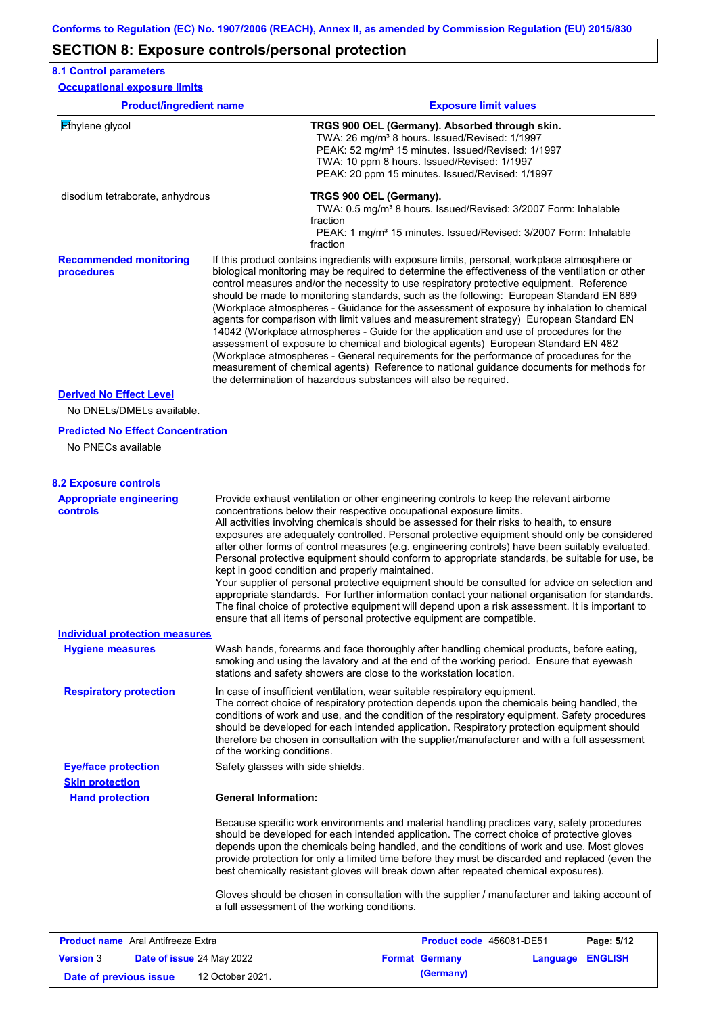### **SECTION 8: Exposure controls/personal protection**

| <b>Product/ingredient name</b>                | <b>Exposure limit values</b>                                                                                                                                                                                                                                                                                                                                                                                                                                                                                                                                                                                                                                                                                                                                                                                                                                                                                                                                                                                               |
|-----------------------------------------------|----------------------------------------------------------------------------------------------------------------------------------------------------------------------------------------------------------------------------------------------------------------------------------------------------------------------------------------------------------------------------------------------------------------------------------------------------------------------------------------------------------------------------------------------------------------------------------------------------------------------------------------------------------------------------------------------------------------------------------------------------------------------------------------------------------------------------------------------------------------------------------------------------------------------------------------------------------------------------------------------------------------------------|
| Ethylene glycol                               | TRGS 900 OEL (Germany). Absorbed through skin.<br>TWA: 26 mg/m <sup>3</sup> 8 hours. Issued/Revised: 1/1997<br>PEAK: 52 mg/m <sup>3</sup> 15 minutes. Issued/Revised: 1/1997<br>TWA: 10 ppm 8 hours. Issued/Revised: 1/1997<br>PEAK: 20 ppm 15 minutes. Issued/Revised: 1/1997                                                                                                                                                                                                                                                                                                                                                                                                                                                                                                                                                                                                                                                                                                                                             |
| disodium tetraborate, anhydrous               | TRGS 900 OEL (Germany).<br>TWA: 0.5 mg/m <sup>3</sup> 8 hours. Issued/Revised: 3/2007 Form: Inhalable<br>fraction<br>PEAK: 1 mg/m <sup>3</sup> 15 minutes. Issued/Revised: 3/2007 Form: Inhalable<br>fraction                                                                                                                                                                                                                                                                                                                                                                                                                                                                                                                                                                                                                                                                                                                                                                                                              |
| <b>Recommended monitoring</b><br>procedures   | If this product contains ingredients with exposure limits, personal, workplace atmosphere or<br>biological monitoring may be required to determine the effectiveness of the ventilation or other<br>control measures and/or the necessity to use respiratory protective equipment. Reference<br>should be made to monitoring standards, such as the following: European Standard EN 689<br>(Workplace atmospheres - Guidance for the assessment of exposure by inhalation to chemical<br>agents for comparison with limit values and measurement strategy) European Standard EN<br>14042 (Workplace atmospheres - Guide for the application and use of procedures for the<br>assessment of exposure to chemical and biological agents) European Standard EN 482<br>(Workplace atmospheres - General requirements for the performance of procedures for the<br>measurement of chemical agents) Reference to national guidance documents for methods for<br>the determination of hazardous substances will also be required. |
| <b>Derived No Effect Level</b>                |                                                                                                                                                                                                                                                                                                                                                                                                                                                                                                                                                                                                                                                                                                                                                                                                                                                                                                                                                                                                                            |
| No DNELs/DMELs available.                     |                                                                                                                                                                                                                                                                                                                                                                                                                                                                                                                                                                                                                                                                                                                                                                                                                                                                                                                                                                                                                            |
| <b>Predicted No Effect Concentration</b>      |                                                                                                                                                                                                                                                                                                                                                                                                                                                                                                                                                                                                                                                                                                                                                                                                                                                                                                                                                                                                                            |
| No PNECs available                            |                                                                                                                                                                                                                                                                                                                                                                                                                                                                                                                                                                                                                                                                                                                                                                                                                                                                                                                                                                                                                            |
| <b>8.2 Exposure controls</b>                  |                                                                                                                                                                                                                                                                                                                                                                                                                                                                                                                                                                                                                                                                                                                                                                                                                                                                                                                                                                                                                            |
| <b>Appropriate engineering</b><br>controls    | Provide exhaust ventilation or other engineering controls to keep the relevant airborne<br>concentrations below their respective occupational exposure limits.<br>All activities involving chemicals should be assessed for their risks to health, to ensure<br>exposures are adequately controlled. Personal protective equipment should only be considered<br>after other forms of control measures (e.g. engineering controls) have been suitably evaluated.<br>Personal protective equipment should conform to appropriate standards, be suitable for use, be<br>kept in good condition and properly maintained.<br>Your supplier of personal protective equipment should be consulted for advice on selection and<br>appropriate standards. For further information contact your national organisation for standards.<br>The final choice of protective equipment will depend upon a risk assessment. It is important to<br>ensure that all items of personal protective equipment are compatible.                    |
| <b>Individual protection measures</b>         |                                                                                                                                                                                                                                                                                                                                                                                                                                                                                                                                                                                                                                                                                                                                                                                                                                                                                                                                                                                                                            |
| <b>Hygiene measures</b>                       | Wash hands, forearms and face thoroughly after handling chemical products, before eating,<br>smoking and using the lavatory and at the end of the working period. Ensure that eyewash<br>stations and safety showers are close to the workstation location.                                                                                                                                                                                                                                                                                                                                                                                                                                                                                                                                                                                                                                                                                                                                                                |
| <b>Respiratory protection</b>                 | In case of insufficient ventilation, wear suitable respiratory equipment.<br>The correct choice of respiratory protection depends upon the chemicals being handled, the<br>conditions of work and use, and the condition of the respiratory equipment. Safety procedures<br>should be developed for each intended application. Respiratory protection equipment should<br>therefore be chosen in consultation with the supplier/manufacturer and with a full assessment<br>of the working conditions.                                                                                                                                                                                                                                                                                                                                                                                                                                                                                                                      |
| <b>Eye/face protection</b>                    | Safety glasses with side shields.                                                                                                                                                                                                                                                                                                                                                                                                                                                                                                                                                                                                                                                                                                                                                                                                                                                                                                                                                                                          |
| <b>Skin protection</b>                        |                                                                                                                                                                                                                                                                                                                                                                                                                                                                                                                                                                                                                                                                                                                                                                                                                                                                                                                                                                                                                            |
| <b>Hand protection</b>                        | <b>General Information:</b>                                                                                                                                                                                                                                                                                                                                                                                                                                                                                                                                                                                                                                                                                                                                                                                                                                                                                                                                                                                                |
|                                               | Because specific work environments and material handling practices vary, safety procedures<br>should be developed for each intended application. The correct choice of protective gloves<br>depends upon the chemicals being handled, and the conditions of work and use. Most gloves<br>provide protection for only a limited time before they must be discarded and replaced (even the<br>best chemically resistant gloves will break down after repeated chemical exposures).                                                                                                                                                                                                                                                                                                                                                                                                                                                                                                                                           |
|                                               | Gloves should be chosen in consultation with the supplier / manufacturer and taking account of<br>a full assessment of the working conditions.                                                                                                                                                                                                                                                                                                                                                                                                                                                                                                                                                                                                                                                                                                                                                                                                                                                                             |
| <b>Product name</b> Aral Antifreeze Extra     | Product code 456081-DE51<br>Page: 5/12                                                                                                                                                                                                                                                                                                                                                                                                                                                                                                                                                                                                                                                                                                                                                                                                                                                                                                                                                                                     |
| <b>Version 3</b><br>Date of issue 24 May 2022 | <b>ENGLISH</b><br><b>Format Germany</b><br>Language                                                                                                                                                                                                                                                                                                                                                                                                                                                                                                                                                                                                                                                                                                                                                                                                                                                                                                                                                                        |

**Date of previous issue 12 October 2021. (Germany)**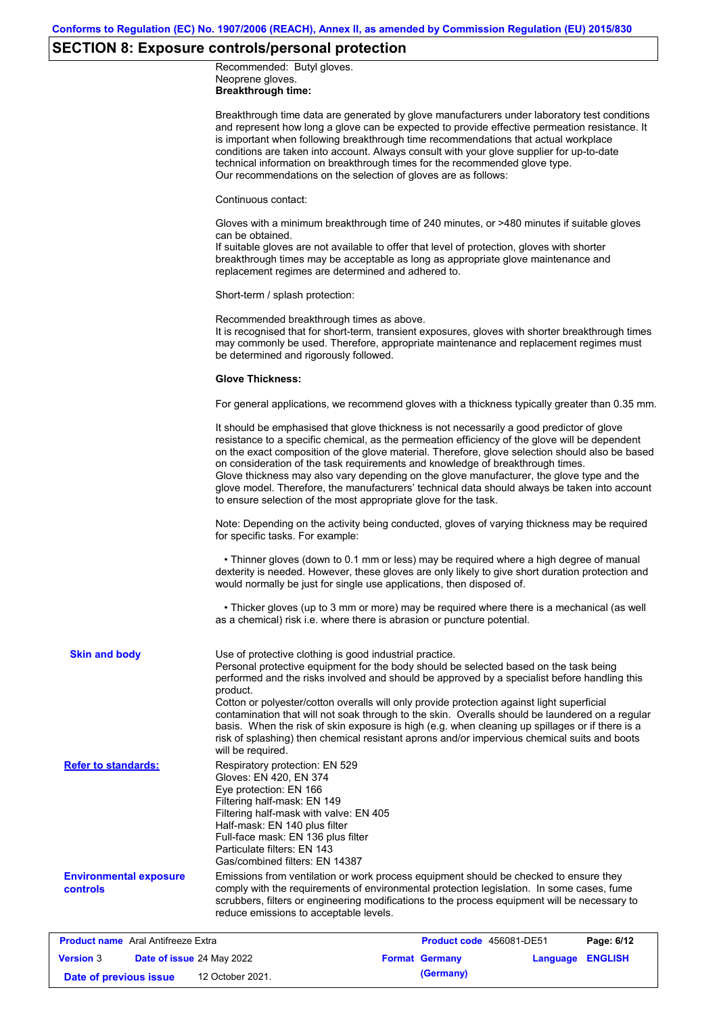### **SECTION 8: Exposure controls/personal protection**

Recommended: Butyl gloves. Neoprene gloves. **Breakthrough time:**

Breakthrough time data are generated by glove manufacturers under laboratory test conditions and represent how long a glove can be expected to provide effective permeation resistance. It is important when following breakthrough time recommendations that actual workplace conditions are taken into account. Always consult with your glove supplier for up-to-date technical information on breakthrough times for the recommended glove type. Our recommendations on the selection of gloves are as follows:

Continuous contact:

Gloves with a minimum breakthrough time of 240 minutes, or >480 minutes if suitable gloves can be obtained.

If suitable gloves are not available to offer that level of protection, gloves with shorter breakthrough times may be acceptable as long as appropriate glove maintenance and replacement regimes are determined and adhered to.

Short-term / splash protection:

Recommended breakthrough times as above.

It is recognised that for short-term, transient exposures, gloves with shorter breakthrough times may commonly be used. Therefore, appropriate maintenance and replacement regimes must be determined and rigorously followed.

#### **Glove Thickness:**

For general applications, we recommend gloves with a thickness typically greater than 0.35 mm.

It should be emphasised that glove thickness is not necessarily a good predictor of glove resistance to a specific chemical, as the permeation efficiency of the glove will be dependent on the exact composition of the glove material. Therefore, glove selection should also be based on consideration of the task requirements and knowledge of breakthrough times. Glove thickness may also vary depending on the glove manufacturer, the glove type and the glove model. Therefore, the manufacturers' technical data should always be taken into account to ensure selection of the most appropriate glove for the task.

Note: Depending on the activity being conducted, gloves of varying thickness may be required for specific tasks. For example:

 • Thinner gloves (down to 0.1 mm or less) may be required where a high degree of manual dexterity is needed. However, these gloves are only likely to give short duration protection and would normally be just for single use applications, then disposed of.

 • Thicker gloves (up to 3 mm or more) may be required where there is a mechanical (as well as a chemical) risk i.e. where there is abrasion or puncture potential.

| <b>Skin and body</b>                             | Use of protective clothing is good industrial practice.<br>Personal protective equipment for the body should be selected based on the task being<br>performed and the risks involved and should be approved by a specialist before handling this<br>product.<br>Cotton or polyester/cotton overalls will only provide protection against light superficial<br>contamination that will not soak through to the skin. Overalls should be laundered on a regular<br>basis. When the risk of skin exposure is high (e.g. when cleaning up spillages or if there is a<br>risk of splashing) then chemical resistant aprons and/or impervious chemical suits and boots<br>will be required. |                                 |                    |
|--------------------------------------------------|---------------------------------------------------------------------------------------------------------------------------------------------------------------------------------------------------------------------------------------------------------------------------------------------------------------------------------------------------------------------------------------------------------------------------------------------------------------------------------------------------------------------------------------------------------------------------------------------------------------------------------------------------------------------------------------|---------------------------------|--------------------|
| <b>Refer to standards:</b>                       | Respiratory protection: EN 529<br>Gloves: EN 420, EN 374<br>Eye protection: EN 166<br>Filtering half-mask: EN 149<br>Filtering half-mask with valve: EN 405<br>Half-mask: EN 140 plus filter<br>Full-face mask: EN 136 plus filter<br>Particulate filters: EN 143<br>Gas/combined filters: EN 14387                                                                                                                                                                                                                                                                                                                                                                                   |                                 |                    |
| <b>Environmental exposure</b><br><b>controls</b> | Emissions from ventilation or work process equipment should be checked to ensure they<br>comply with the requirements of environmental protection legislation. In some cases, fume<br>scrubbers, filters or engineering modifications to the process equipment will be necessary to<br>reduce emissions to acceptable levels.                                                                                                                                                                                                                                                                                                                                                         |                                 |                    |
| <b>Product name</b> Aral Antifreeze Extra        |                                                                                                                                                                                                                                                                                                                                                                                                                                                                                                                                                                                                                                                                                       | <b>Product code</b> 456081-DE51 | $P$ ane: $f$ $/12$ |

| <b>Product name</b> Aral Antifreeze Extra |  | <b>Product code</b> 456081-DE51  |  | Page: 6/12            |                  |  |
|-------------------------------------------|--|----------------------------------|--|-----------------------|------------------|--|
| <b>Version 3</b>                          |  | <b>Date of issue 24 May 2022</b> |  | <b>Format Germany</b> | Language ENGLISH |  |
| Date of previous issue                    |  | 12 October 2021.                 |  | (Germany)             |                  |  |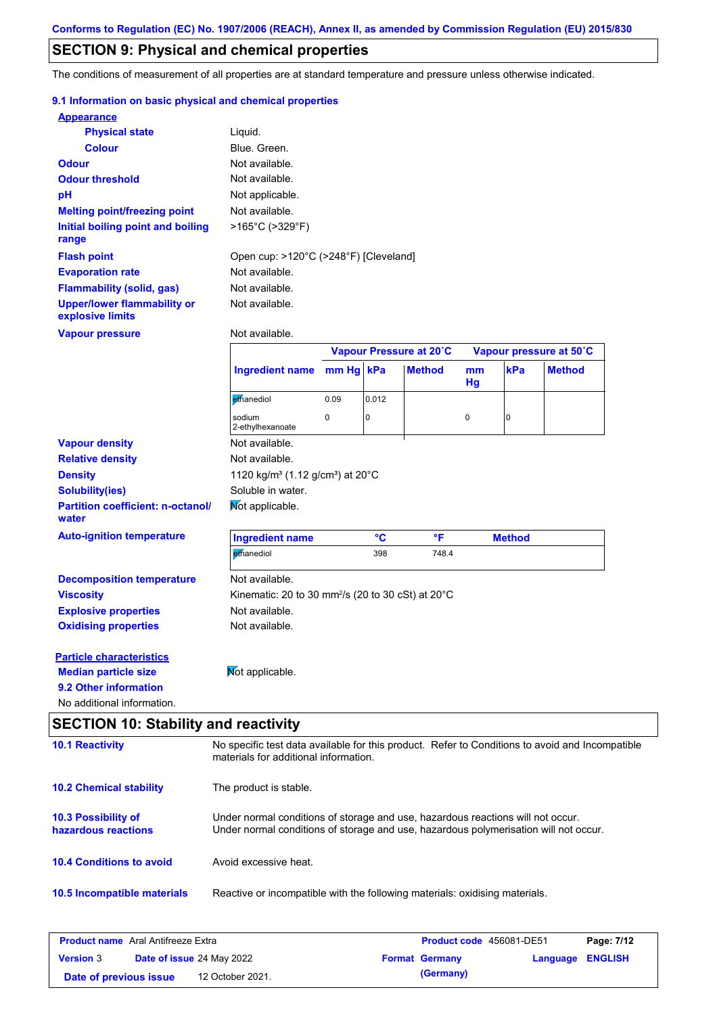### **SECTION 9: Physical and chemical properties**

The conditions of measurement of all properties are at standard temperature and pressure unless otherwise indicated.

#### **9.1 Information on basic physical and chemical properties**

| <b>Appearance</b>                                      |                                                                                                                                          |      |                |                         |          |               |                         |
|--------------------------------------------------------|------------------------------------------------------------------------------------------------------------------------------------------|------|----------------|-------------------------|----------|---------------|-------------------------|
| <b>Physical state</b>                                  | Liquid.                                                                                                                                  |      |                |                         |          |               |                         |
| <b>Colour</b>                                          | Blue, Green.                                                                                                                             |      |                |                         |          |               |                         |
| <b>Odour</b>                                           | Not available.                                                                                                                           |      |                |                         |          |               |                         |
| <b>Odour threshold</b>                                 | Not available.                                                                                                                           |      |                |                         |          |               |                         |
| pH                                                     | Not applicable.                                                                                                                          |      |                |                         |          |               |                         |
| <b>Melting point/freezing point</b>                    | Not available.                                                                                                                           |      |                |                         |          |               |                         |
| <b>Initial boiling point and boiling</b><br>range      | >165°C (>329°F)                                                                                                                          |      |                |                         |          |               |                         |
| <b>Flash point</b>                                     | Open cup: >120°C (>248°F) [Cleveland]                                                                                                    |      |                |                         |          |               |                         |
| <b>Evaporation rate</b>                                | Not available.                                                                                                                           |      |                |                         |          |               |                         |
| <b>Flammability (solid, gas)</b>                       | Not available.                                                                                                                           |      |                |                         |          |               |                         |
| <b>Upper/lower flammability or</b><br>explosive limits | Not available.                                                                                                                           |      |                |                         |          |               |                         |
| <b>Vapour pressure</b>                                 | Not available.                                                                                                                           |      |                |                         |          |               |                         |
|                                                        |                                                                                                                                          |      |                | Vapour Pressure at 20°C |          |               | Vapour pressure at 50°C |
|                                                        | Ingredient name mm Hg kPa                                                                                                                |      |                | <b>Method</b>           | mm<br>Hg | kPa           | <b>Method</b>           |
|                                                        | ethanediol                                                                                                                               | 0.09 | 0.012          |                         |          |               |                         |
|                                                        | sodium<br>2-ethylhexanoate                                                                                                               | 0    | $\overline{0}$ |                         | 0        | 0             |                         |
| <b>Vapour density</b>                                  | Not available.                                                                                                                           |      |                |                         |          |               |                         |
| <b>Relative density</b>                                | Not available.                                                                                                                           |      |                |                         |          |               |                         |
| <b>Density</b>                                         | 1120 kg/m <sup>3</sup> (1.12 g/cm <sup>3</sup> ) at 20°C                                                                                 |      |                |                         |          |               |                         |
| <b>Solubility(ies)</b>                                 | Soluble in water.                                                                                                                        |      |                |                         |          |               |                         |
| <b>Partition coefficient: n-octanol/</b><br>water      | Not applicable.                                                                                                                          |      |                |                         |          |               |                         |
| <b>Auto-ignition temperature</b>                       | <b>Ingredient name</b>                                                                                                                   |      | °C             | $\overline{\mathsf{F}}$ |          | <b>Method</b> |                         |
|                                                        | ethanediol                                                                                                                               |      | 398            | 748.4                   |          |               |                         |
| <b>Decomposition temperature</b>                       | Not available.                                                                                                                           |      |                |                         |          |               |                         |
| <b>Viscosity</b>                                       | Kinematic: 20 to 30 mm <sup>2</sup> /s (20 to 30 cSt) at 20 $^{\circ}$ C                                                                 |      |                |                         |          |               |                         |
| <b>Explosive properties</b>                            | Not available.                                                                                                                           |      |                |                         |          |               |                         |
| <b>Oxidising properties</b>                            | Not available.                                                                                                                           |      |                |                         |          |               |                         |
|                                                        |                                                                                                                                          |      |                |                         |          |               |                         |
| <b>Particle characteristics</b>                        |                                                                                                                                          |      |                |                         |          |               |                         |
| <b>Median particle size</b><br>9.2 Other information   | Mot applicable.                                                                                                                          |      |                |                         |          |               |                         |
|                                                        |                                                                                                                                          |      |                |                         |          |               |                         |
| No additional information.                             |                                                                                                                                          |      |                |                         |          |               |                         |
| <b>SECTION 10: Stability and reactivity</b>            |                                                                                                                                          |      |                |                         |          |               |                         |
| <b>10.1 Reactivity</b>                                 | No specific test data available for this product. Refer to Conditions to avoid and Incompatible<br>materials for additional information. |      |                |                         |          |               |                         |
| <b>10.2 Chemical stability</b>                         | The product is stable.                                                                                                                   |      |                |                         |          |               |                         |

| 10.3 Possibility of | Under normal conditions of storage and use, hazardous reactions will not occur.      |
|---------------------|--------------------------------------------------------------------------------------|
| hazardous reactions | Under normal conditions of storage and use, hazardous polymerisation will not occur. |

**10.4 Conditions to avoid** Avoid excessive heat.

**10.5 Incompatible materials** Reactive or incompatible with the following materials: oxidising materials.

| <b>Product name</b> Aral Antifreeze Extra |  |                                  | Product code 456081-DE51 |                       | Page: 7/12       |  |
|-------------------------------------------|--|----------------------------------|--------------------------|-----------------------|------------------|--|
| <b>Version 3</b>                          |  | <b>Date of issue 24 May 2022</b> |                          | <b>Format Germany</b> | Language ENGLISH |  |
| Date of previous issue                    |  | 12 October 2021.                 |                          | (Germany)             |                  |  |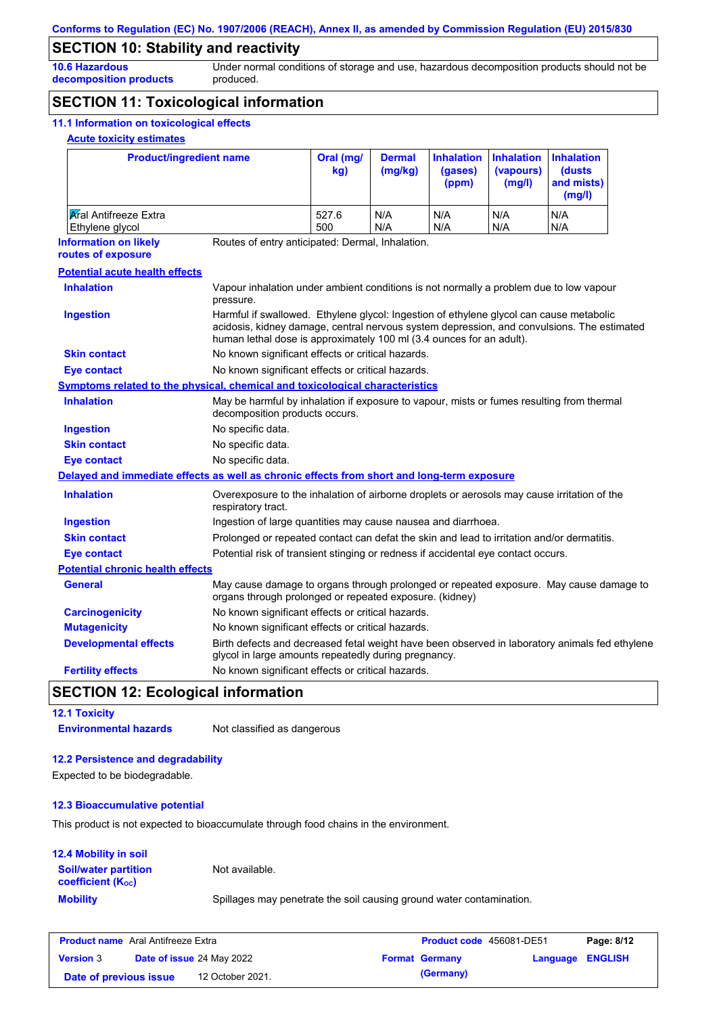## **SECTION 10: Stability and reactivity**

**10.6 Hazardous decomposition products** Under normal conditions of storage and use, hazardous decomposition products should not be produced.

### **SECTION 11: Toxicological information**

### **11.1 Information on toxicological effects**

### **Acute toxicity estimates**

| <b>Product/ingredient name</b>                                                             |                                                                                                                                                   | Oral (mg/<br>kg)                                                                                                                                                                                                                                              | <b>Dermal</b><br>(mg/kg) | <b>Inhalation</b><br>(gases)<br>(ppm) | <b>Inhalation</b><br>(vapours)<br>(mg/l) | <b>Inhalation</b><br>(dusts)<br>and mists)<br>(mg/l)                                           |  |
|--------------------------------------------------------------------------------------------|---------------------------------------------------------------------------------------------------------------------------------------------------|---------------------------------------------------------------------------------------------------------------------------------------------------------------------------------------------------------------------------------------------------------------|--------------------------|---------------------------------------|------------------------------------------|------------------------------------------------------------------------------------------------|--|
| <b>Kral Antifreeze Extra</b><br>Ethylene glycol                                            |                                                                                                                                                   | 527.6<br>500                                                                                                                                                                                                                                                  | N/A<br>N/A               | N/A<br>N/A                            | N/A<br>N/A                               | N/A<br>N/A                                                                                     |  |
| <b>Information on likely</b><br>routes of exposure                                         | Routes of entry anticipated: Dermal, Inhalation.                                                                                                  |                                                                                                                                                                                                                                                               |                          |                                       |                                          |                                                                                                |  |
| <b>Potential acute health effects</b>                                                      |                                                                                                                                                   |                                                                                                                                                                                                                                                               |                          |                                       |                                          |                                                                                                |  |
| <b>Inhalation</b>                                                                          | Vapour inhalation under ambient conditions is not normally a problem due to low vapour<br>pressure.                                               |                                                                                                                                                                                                                                                               |                          |                                       |                                          |                                                                                                |  |
| <b>Ingestion</b>                                                                           |                                                                                                                                                   | Harmful if swallowed. Ethylene glycol: Ingestion of ethylene glycol can cause metabolic<br>acidosis, kidney damage, central nervous system depression, and convulsions. The estimated<br>human lethal dose is approximately 100 ml (3.4 ounces for an adult). |                          |                                       |                                          |                                                                                                |  |
| <b>Skin contact</b>                                                                        | No known significant effects or critical hazards.                                                                                                 |                                                                                                                                                                                                                                                               |                          |                                       |                                          |                                                                                                |  |
| <b>Eye contact</b>                                                                         | No known significant effects or critical hazards.                                                                                                 |                                                                                                                                                                                                                                                               |                          |                                       |                                          |                                                                                                |  |
| Symptoms related to the physical, chemical and toxicological characteristics               |                                                                                                                                                   |                                                                                                                                                                                                                                                               |                          |                                       |                                          |                                                                                                |  |
| <b>Inhalation</b>                                                                          |                                                                                                                                                   | May be harmful by inhalation if exposure to vapour, mists or fumes resulting from thermal<br>decomposition products occurs.                                                                                                                                   |                          |                                       |                                          |                                                                                                |  |
| <b>Ingestion</b>                                                                           | No specific data.                                                                                                                                 |                                                                                                                                                                                                                                                               |                          |                                       |                                          |                                                                                                |  |
| <b>Skin contact</b>                                                                        | No specific data.                                                                                                                                 |                                                                                                                                                                                                                                                               |                          |                                       |                                          |                                                                                                |  |
| <b>Eye contact</b>                                                                         | No specific data.                                                                                                                                 |                                                                                                                                                                                                                                                               |                          |                                       |                                          |                                                                                                |  |
| Delayed and immediate effects as well as chronic effects from short and long-term exposure |                                                                                                                                                   |                                                                                                                                                                                                                                                               |                          |                                       |                                          |                                                                                                |  |
| <b>Inhalation</b>                                                                          | Overexposure to the inhalation of airborne droplets or aerosols may cause irritation of the<br>respiratory tract.                                 |                                                                                                                                                                                                                                                               |                          |                                       |                                          |                                                                                                |  |
| <b>Ingestion</b>                                                                           | Ingestion of large quantities may cause nausea and diarrhoea.                                                                                     |                                                                                                                                                                                                                                                               |                          |                                       |                                          |                                                                                                |  |
| <b>Skin contact</b>                                                                        | Prolonged or repeated contact can defat the skin and lead to irritation and/or dermatitis.                                                        |                                                                                                                                                                                                                                                               |                          |                                       |                                          |                                                                                                |  |
| <b>Eye contact</b>                                                                         | Potential risk of transient stinging or redness if accidental eye contact occurs.                                                                 |                                                                                                                                                                                                                                                               |                          |                                       |                                          |                                                                                                |  |
| <b>Potential chronic health effects</b>                                                    |                                                                                                                                                   |                                                                                                                                                                                                                                                               |                          |                                       |                                          |                                                                                                |  |
| <b>General</b>                                                                             | May cause damage to organs through prolonged or repeated exposure. May cause damage to<br>organs through prolonged or repeated exposure. (kidney) |                                                                                                                                                                                                                                                               |                          |                                       |                                          |                                                                                                |  |
| <b>Carcinogenicity</b>                                                                     | No known significant effects or critical hazards.                                                                                                 |                                                                                                                                                                                                                                                               |                          |                                       |                                          |                                                                                                |  |
| <b>Mutagenicity</b>                                                                        | No known significant effects or critical hazards.                                                                                                 |                                                                                                                                                                                                                                                               |                          |                                       |                                          |                                                                                                |  |
| <b>Developmental effects</b>                                                               |                                                                                                                                                   |                                                                                                                                                                                                                                                               |                          |                                       |                                          | Birth defects and decreased fetal weight have been observed in laboratory animals fed ethylene |  |
| <b>Fertility effects</b>                                                                   | glycol in large amounts repeatedly during pregnancy.<br>No known significant effects or critical hazards.                                         |                                                                                                                                                                                                                                                               |                          |                                       |                                          |                                                                                                |  |

# **SECTION 12: Ecological information**

| <b>12.1 Toxicity</b>         |                             |
|------------------------------|-----------------------------|
| <b>Environmental hazards</b> | Not classified as dangerous |

#### **12.2 Persistence and degradability**

Expected to be biodegradable.

#### **12.3 Bioaccumulative potential**

This product is not expected to bioaccumulate through food chains in the environment.

| <b>12.4 Mobility in soil</b>                                  |                                                                      |
|---------------------------------------------------------------|----------------------------------------------------------------------|
| <b>Soil/water partition</b><br>coefficient (K <sub>oc</sub> ) | Not available.                                                       |
| <b>Mobility</b>                                               | Spillages may penetrate the soil causing ground water contamination. |

| <b>Product name</b> Aral Antifreeze Extra |  |                                  |  | Product code 456081-DE51 | Page: 8/12       |  |
|-------------------------------------------|--|----------------------------------|--|--------------------------|------------------|--|
| <b>Version 3</b>                          |  | <b>Date of issue 24 May 2022</b> |  | <b>Format Germany</b>    | Language ENGLISH |  |
| Date of previous issue                    |  | 12 October 2021.                 |  | (Germany)                |                  |  |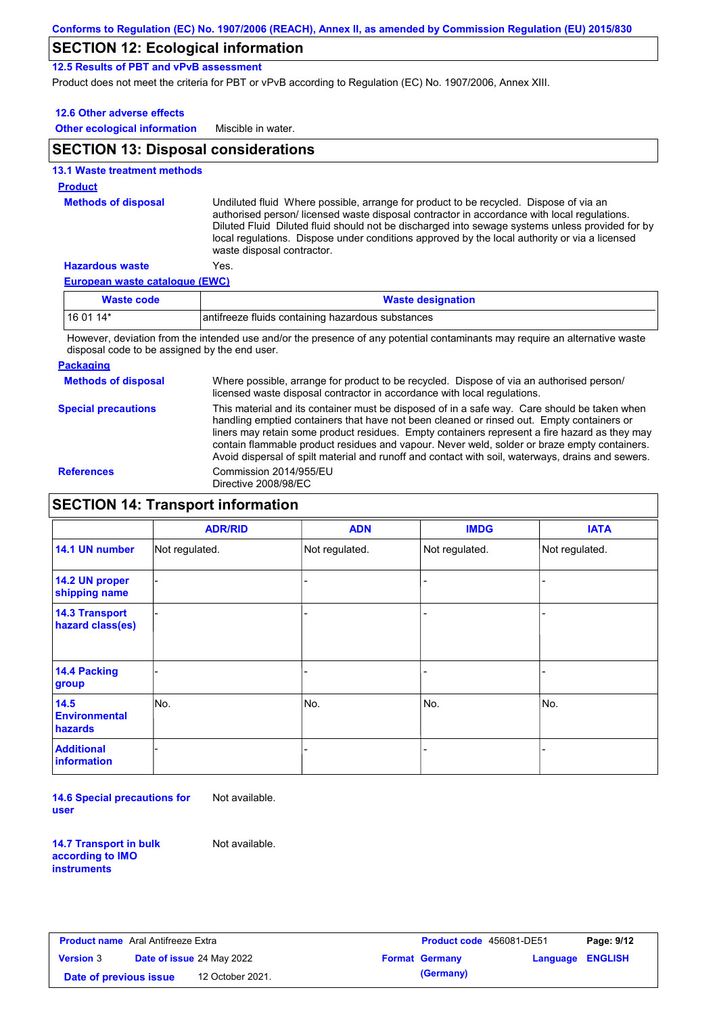### **SECTION 12: Ecological information**

**12.5 Results of PBT and vPvB assessment**

Product does not meet the criteria for PBT or vPvB according to Regulation (EC) No. 1907/2006, Annex XIII.

#### **12.6 Other adverse effects**

**Other ecological information** Miscible in water.

### **SECTION 13: Disposal considerations**

#### **13.1 Waste treatment methods**

#### **European waste catalogue (EWC) Hazardous waste** Yes. Undiluted fluid Where possible, arrange for product to be recycled. Dispose of via an authorised person/ licensed waste disposal contractor in accordance with local regulations. Diluted Fluid Diluted fluid should not be discharged into sewage systems unless provided for by local regulations. Dispose under conditions approved by the local authority or via a licensed waste disposal contractor. **Methods of disposal Product**

| Waste code | <b>Waste designation</b>                          |
|------------|---------------------------------------------------|
| $160114*$  | antifreeze fluids containing hazardous substances |

However, deviation from the intended use and/or the presence of any potential contaminants may require an alternative waste disposal code to be assigned by the end user.

#### **Packaging**

| <b>Methods of disposal</b> | Where possible, arrange for product to be recycled. Dispose of via an authorised person/<br>licensed waste disposal contractor in accordance with local regulations.                                                                                                                                                                                                                                                                                                                            |
|----------------------------|-------------------------------------------------------------------------------------------------------------------------------------------------------------------------------------------------------------------------------------------------------------------------------------------------------------------------------------------------------------------------------------------------------------------------------------------------------------------------------------------------|
| <b>Special precautions</b> | This material and its container must be disposed of in a safe way. Care should be taken when<br>handling emptied containers that have not been cleaned or rinsed out. Empty containers or<br>liners may retain some product residues. Empty containers represent a fire hazard as they may<br>contain flammable product residues and vapour. Never weld, solder or braze empty containers.<br>Avoid dispersal of spilt material and runoff and contact with soil, waterways, drains and sewers. |
| <b>References</b>          | Commission 2014/955/EU<br>Directive 2008/98/EC                                                                                                                                                                                                                                                                                                                                                                                                                                                  |

### **SECTION 14: Transport information**

|                                           | <b>ADR/RID</b> | <b>ADN</b>     | <b>IMDG</b>              | <b>IATA</b>    |
|-------------------------------------------|----------------|----------------|--------------------------|----------------|
| 14.1 UN number                            | Not regulated. | Not regulated. | Not regulated.           | Not regulated. |
| 14.2 UN proper<br>shipping name           |                |                |                          |                |
| <b>14.3 Transport</b><br>hazard class(es) |                |                | -                        |                |
| 14.4 Packing<br>group                     |                |                | $\overline{\phantom{0}}$ |                |
| 14.5<br><b>Environmental</b><br>hazards   | No.            | No.            | No.                      | No.            |
| <b>Additional</b><br><b>information</b>   |                |                | -                        |                |

**14.6 Special precautions for user** Not available.

**14.7 Transport in bulk according to IMO instruments**

Not available.

| <b>Product name</b> Aral Antifreeze Extra |                                  |                  | Product code 456081-DE51 |                       | Page: 9/12              |  |
|-------------------------------------------|----------------------------------|------------------|--------------------------|-----------------------|-------------------------|--|
| <b>Version 3</b>                          | <b>Date of issue 24 May 2022</b> |                  |                          | <b>Format Germany</b> | <b>Language ENGLISH</b> |  |
| Date of previous issue                    |                                  | 12 October 2021. |                          | (Germany)             |                         |  |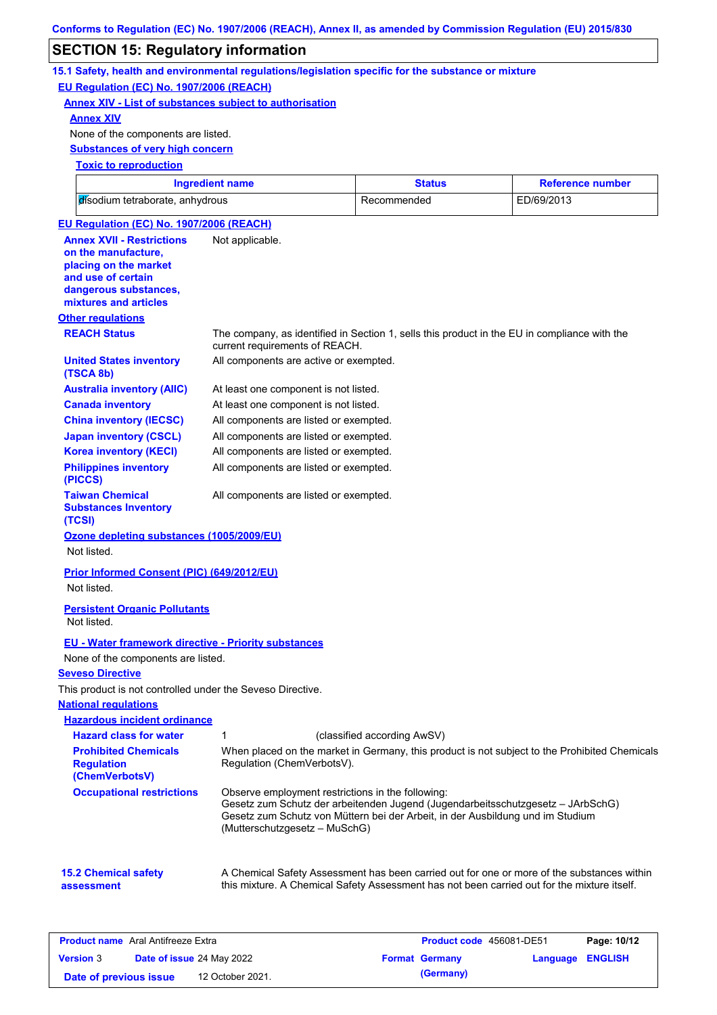### **SECTION 15: Regulatory information**

**15.1 Safety, health and environmental regulations/legislation specific for the substance or mixture EU Regulation (EC) No. 1907/2006 (REACH)**

**Annex XIV - List of substances subject to authorisation**

#### **Annex XIV**

None of the components are listed.

**Substances of very high concern**

**Toxic to reproduction**

| <b>Ingredient name</b>                  | Status      | <b>Reference number</b> |
|-----------------------------------------|-------------|-------------------------|
| <b>d</b> isodium tetraborate, anhydrous | Recommended | ED/69/2013              |

| EU Regulation (EC) No. 1907/2006 (REACH)                                                                                                                 |                                                                                                                                                                                                                                                         |
|----------------------------------------------------------------------------------------------------------------------------------------------------------|---------------------------------------------------------------------------------------------------------------------------------------------------------------------------------------------------------------------------------------------------------|
| <b>Annex XVII - Restrictions</b><br>on the manufacture,<br>placing on the market<br>and use of certain<br>dangerous substances,<br>mixtures and articles | Not applicable.                                                                                                                                                                                                                                         |
| <b>Other regulations</b>                                                                                                                                 |                                                                                                                                                                                                                                                         |
| <b>REACH Status</b>                                                                                                                                      | The company, as identified in Section 1, sells this product in the EU in compliance with the<br>current requirements of REACH.                                                                                                                          |
| <b>United States inventory</b><br>(TSCA 8b)                                                                                                              | All components are active or exempted.                                                                                                                                                                                                                  |
| <b>Australia inventory (AIIC)</b>                                                                                                                        | At least one component is not listed.                                                                                                                                                                                                                   |
| <b>Canada inventory</b>                                                                                                                                  | At least one component is not listed.                                                                                                                                                                                                                   |
| <b>China inventory (IECSC)</b>                                                                                                                           | All components are listed or exempted.                                                                                                                                                                                                                  |
| <b>Japan inventory (CSCL)</b>                                                                                                                            | All components are listed or exempted.                                                                                                                                                                                                                  |
| <b>Korea inventory (KECI)</b>                                                                                                                            | All components are listed or exempted.                                                                                                                                                                                                                  |
| <b>Philippines inventory</b><br>(PICCS)                                                                                                                  | All components are listed or exempted.                                                                                                                                                                                                                  |
| <b>Taiwan Chemical</b><br><b>Substances Inventory</b><br>(TCSI)                                                                                          | All components are listed or exempted.                                                                                                                                                                                                                  |
| Ozone depleting substances (1005/2009/EU)<br>Not listed.                                                                                                 |                                                                                                                                                                                                                                                         |
| <b>Prior Informed Consent (PIC) (649/2012/EU)</b>                                                                                                        |                                                                                                                                                                                                                                                         |
| Not listed.                                                                                                                                              |                                                                                                                                                                                                                                                         |
| <b>Persistent Organic Pollutants</b><br>Not listed.                                                                                                      |                                                                                                                                                                                                                                                         |
| <b>EU - Water framework directive - Priority substances</b>                                                                                              |                                                                                                                                                                                                                                                         |
| None of the components are listed.                                                                                                                       |                                                                                                                                                                                                                                                         |
| <b>Seveso Directive</b>                                                                                                                                  |                                                                                                                                                                                                                                                         |
| This product is not controlled under the Seveso Directive.                                                                                               |                                                                                                                                                                                                                                                         |
| <b>National regulations</b>                                                                                                                              |                                                                                                                                                                                                                                                         |
| <b>Hazardous incident ordinance</b>                                                                                                                      |                                                                                                                                                                                                                                                         |
| <b>Hazard class for water</b>                                                                                                                            | 1<br>(classified according AwSV)                                                                                                                                                                                                                        |
| <b>Prohibited Chemicals</b>                                                                                                                              |                                                                                                                                                                                                                                                         |
| <b>Regulation</b><br>(ChemVerbotsV)                                                                                                                      | When placed on the market in Germany, this product is not subject to the Prohibited Chemicals<br>Regulation (ChemVerbotsV).                                                                                                                             |
| <b>Occupational restrictions</b>                                                                                                                         | Observe employment restrictions in the following:<br>Gesetz zum Schutz der arbeitenden Jugend (Jugendarbeitsschutzgesetz - JArbSchG)<br>Gesetz zum Schutz von Müttern bei der Arbeit, in der Ausbildung und im Studium<br>(Mutterschutzgesetz – MuSchG) |
| <b>15.2 Chemical safety</b><br>assessment                                                                                                                | A Chemical Safety Assessment has been carried out for one or more of the substances within<br>this mixture. A Chemical Safety Assessment has not been carried out for the mixture itself.                                                               |
|                                                                                                                                                          |                                                                                                                                                                                                                                                         |

| <b>Product name</b> Aral Antifreeze Extra |                                  |                  | <b>Product code</b> 456081-DE51 | Page: 10/12           |                         |  |
|-------------------------------------------|----------------------------------|------------------|---------------------------------|-----------------------|-------------------------|--|
| <b>Version</b> 3                          | <b>Date of issue 24 May 2022</b> |                  |                                 | <b>Format Germany</b> | <b>Language ENGLISH</b> |  |
| Date of previous issue                    |                                  | 12 October 2021. |                                 | (Germany)             |                         |  |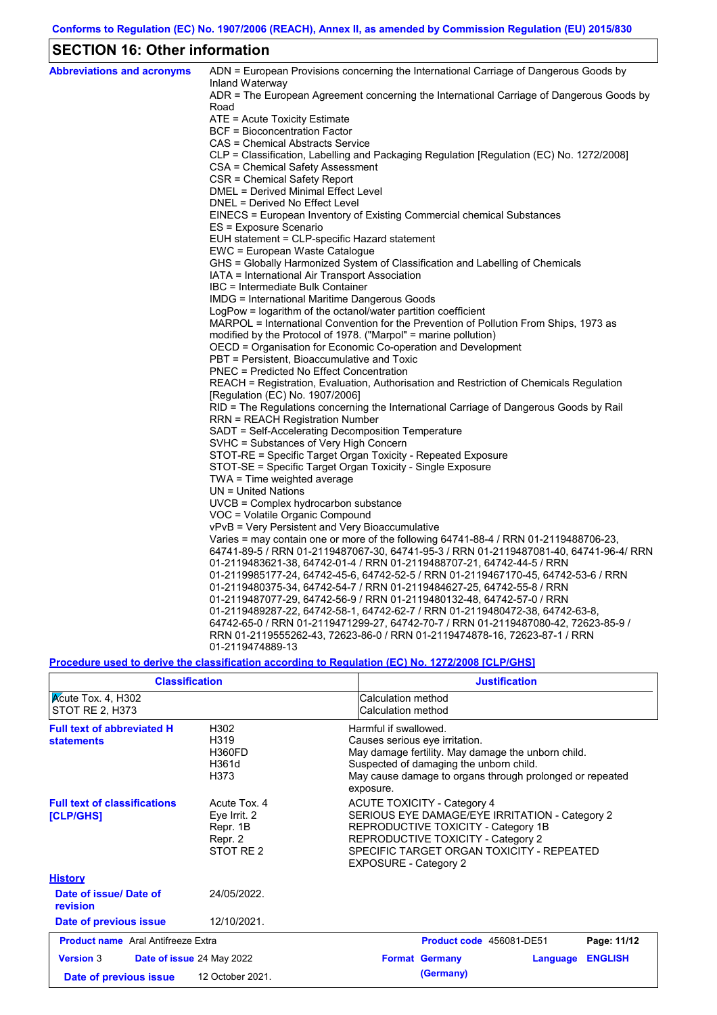# **SECTION 16: Other information**

| <b>Abbreviations and acronyms</b> | ADN = European Provisions concerning the International Carriage of Dangerous Goods by                       |
|-----------------------------------|-------------------------------------------------------------------------------------------------------------|
|                                   | Inland Waterway<br>ADR = The European Agreement concerning the International Carriage of Dangerous Goods by |
|                                   | Road                                                                                                        |
|                                   | ATE = Acute Toxicity Estimate                                                                               |
|                                   | <b>BCF</b> = Bioconcentration Factor                                                                        |
|                                   | CAS = Chemical Abstracts Service                                                                            |
|                                   | CLP = Classification, Labelling and Packaging Regulation [Regulation (EC) No. 1272/2008]                    |
|                                   | CSA = Chemical Safety Assessment                                                                            |
|                                   | CSR = Chemical Safety Report                                                                                |
|                                   | DMEL = Derived Minimal Effect Level                                                                         |
|                                   | DNEL = Derived No Effect Level                                                                              |
|                                   | EINECS = European Inventory of Existing Commercial chemical Substances                                      |
|                                   | ES = Exposure Scenario                                                                                      |
|                                   | EUH statement = CLP-specific Hazard statement                                                               |
|                                   | EWC = European Waste Catalogue                                                                              |
|                                   | GHS = Globally Harmonized System of Classification and Labelling of Chemicals                               |
|                                   | IATA = International Air Transport Association                                                              |
|                                   | IBC = Intermediate Bulk Container                                                                           |
|                                   | IMDG = International Maritime Dangerous Goods                                                               |
|                                   | LogPow = logarithm of the octanol/water partition coefficient                                               |
|                                   | MARPOL = International Convention for the Prevention of Pollution From Ships, 1973 as                       |
|                                   | modified by the Protocol of 1978. ("Marpol" = marine pollution)                                             |
|                                   | OECD = Organisation for Economic Co-operation and Development                                               |
|                                   | PBT = Persistent, Bioaccumulative and Toxic                                                                 |
|                                   | PNEC = Predicted No Effect Concentration                                                                    |
|                                   | REACH = Registration, Evaluation, Authorisation and Restriction of Chemicals Regulation                     |
|                                   | [Regulation (EC) No. 1907/2006]                                                                             |
|                                   | RID = The Regulations concerning the International Carriage of Dangerous Goods by Rail                      |
|                                   | RRN = REACH Registration Number                                                                             |
|                                   | SADT = Self-Accelerating Decomposition Temperature                                                          |
|                                   | SVHC = Substances of Very High Concern                                                                      |
|                                   | STOT-RE = Specific Target Organ Toxicity - Repeated Exposure                                                |
|                                   | STOT-SE = Specific Target Organ Toxicity - Single Exposure                                                  |
|                                   | $TWA = Time weighted average$                                                                               |
|                                   | UN = United Nations                                                                                         |
|                                   | UVCB = Complex hydrocarbon substance<br>VOC = Volatile Organic Compound                                     |
|                                   | vPvB = Very Persistent and Very Bioaccumulative                                                             |
|                                   | Varies = may contain one or more of the following 64741-88-4 / RRN 01-2119488706-23,                        |
|                                   | 64741-89-5 / RRN 01-2119487067-30, 64741-95-3 / RRN 01-2119487081-40, 64741-96-4/ RRN                       |
|                                   | 01-2119483621-38, 64742-01-4 / RRN 01-2119488707-21, 64742-44-5 / RRN                                       |
|                                   | 01-2119985177-24, 64742-45-6, 64742-52-5 / RRN 01-2119467170-45, 64742-53-6 / RRN                           |
|                                   | 01-2119480375-34, 64742-54-7 / RRN 01-2119484627-25, 64742-55-8 / RRN                                       |
|                                   | 01-2119487077-29, 64742-56-9 / RRN 01-2119480132-48, 64742-57-0 / RRN                                       |
|                                   | 01-2119489287-22, 64742-58-1, 64742-62-7 / RRN 01-2119480472-38, 64742-63-8,                                |
|                                   | 64742-65-0 / RRN 01-2119471299-27, 64742-70-7 / RRN 01-2119487080-42, 72623-85-9 /                          |
|                                   | RRN 01-2119555262-43, 72623-86-0 / RRN 01-2119474878-16, 72623-87-1 / RRN                                   |
|                                   | 01-2119474889-13                                                                                            |

#### **Procedure used to derive the classification according to Regulation (EC) No. 1272/2008 [CLP/GHS]**

| <b>Classification</b>                                                                                                |                                         | <b>Justification</b>                                                                                                                                                                                                                           |  |  |  |
|----------------------------------------------------------------------------------------------------------------------|-----------------------------------------|------------------------------------------------------------------------------------------------------------------------------------------------------------------------------------------------------------------------------------------------|--|--|--|
| $\kappa$ cute Tox. 4, H302<br>STOT RE 2, H373                                                                        |                                         | Calculation method<br>Calculation method                                                                                                                                                                                                       |  |  |  |
| <b>Full text of abbreviated H</b><br><b>statements</b>                                                               | H302<br>H319<br>H360FD<br>H361d<br>H373 | Harmful if swallowed.<br>Causes serious eye irritation.<br>May damage fertility. May damage the unborn child.<br>Suspected of damaging the unborn child.<br>May cause damage to organs through prolonged or repeated<br>exposure.              |  |  |  |
| <b>Full text of classifications</b><br>Acute Tox, 4<br>Eye Irrit. 2<br>[CLP/GHS]<br>Repr. 1B<br>Repr. 2<br>STOT RE 2 |                                         | <b>ACUTE TOXICITY - Category 4</b><br>SERIOUS EYE DAMAGE/EYE IRRITATION - Category 2<br>REPRODUCTIVE TOXICITY - Category 1B<br>REPRODUCTIVE TOXICITY - Category 2<br>SPECIFIC TARGET ORGAN TOXICITY - REPEATED<br><b>EXPOSURE - Category 2</b> |  |  |  |
| <b>History</b>                                                                                                       |                                         |                                                                                                                                                                                                                                                |  |  |  |
| Date of issue/Date of<br>revision                                                                                    | 24/05/2022.                             |                                                                                                                                                                                                                                                |  |  |  |
| Date of previous issue                                                                                               | 12/10/2021.                             |                                                                                                                                                                                                                                                |  |  |  |
| <b>Product name</b> Aral Antifreeze Extra                                                                            |                                         | Product code 456081-DE51<br>Page: 11/12                                                                                                                                                                                                        |  |  |  |
| <b>Version 3</b>                                                                                                     | <b>Date of issue 24 May 2022</b>        | <b>ENGLISH</b><br><b>Format Germany</b><br>Language                                                                                                                                                                                            |  |  |  |
| Date of previous issue                                                                                               | 12 October 2021.                        | (Germany)                                                                                                                                                                                                                                      |  |  |  |